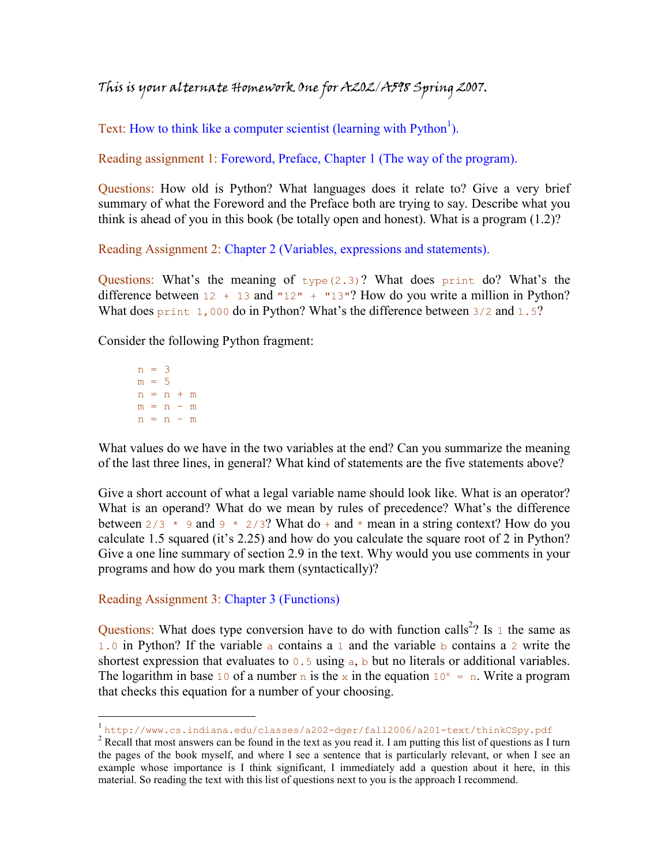This is your alternate Homework One for A202/A598 Spring 2007.

Text: How to think like a computer scientist (learning with  $Python<sup>1</sup>$ ).

Reading assignment 1: Foreword, Preface, Chapter 1 (The way of the program).

Questions: How old is Python? What languages does it relate to? Give a very brief summary of what the Foreword and the Preface both are trying to say. Describe what you think is ahead of you in this book (be totally open and honest). What is a program (1.2)?

Reading Assignment 2: Chapter 2 (Variables, expressions and statements).

Questions: What's the meaning of  $type(2.3)$ ? What does print do? What's the difference between  $12 + 13$  and " $12$ " + " $13$ "? How do you write a million in Python? What does print 1,000 do in Python? What's the difference between 3/2 and 1.5?

Consider the following Python fragment:

 $n = 3$  $m = 5$  $n = n + m$  $m = n - m$  $n = n - m$ 

<u>.</u>

What values do we have in the two variables at the end? Can you summarize the meaning of the last three lines, in general? What kind of statements are the five statements above?

Give a short account of what a legal variable name should look like. What is an operator? What is an operand? What do we mean by rules of precedence? What's the difference between  $2/3 \times 9$  and  $9 \times 2/3$ ? What do + and  $*$  mean in a string context? How do you calculate 1.5 squared (it's 2.25) and how do you calculate the square root of 2 in Python? Give a one line summary of section 2.9 in the text. Why would you use comments in your programs and how do you mark them (syntactically)?

Reading Assignment 3: Chapter 3 (Functions)

Questions: What does type conversion have to do with function calls<sup>2</sup>? Is 1 the same as 1.0 in Python? If the variable a contains a 1 and the variable b contains a 2 write the shortest expression that evaluates to  $0.5$  using  $a, b$  but no literals or additional variables. The logarithm in base 10 of a number n is the x in the equation  $10^x = n$ . Write a program that checks this equation for a number of your choosing.

<sup>1</sup> http://www.cs.indiana.edu/classes/a202-dger/fall2006/a201-text/thinkCSpy.pdf

 $2^2$  Recall that most answers can be found in the text as you read it. I am putting this list of questions as I turn the pages of the book myself, and where I see a sentence that is particularly relevant, or when I see an example whose importance is I think significant, I immediately add a question about it here, in this material. So reading the text with this list of questions next to you is the approach I recommend.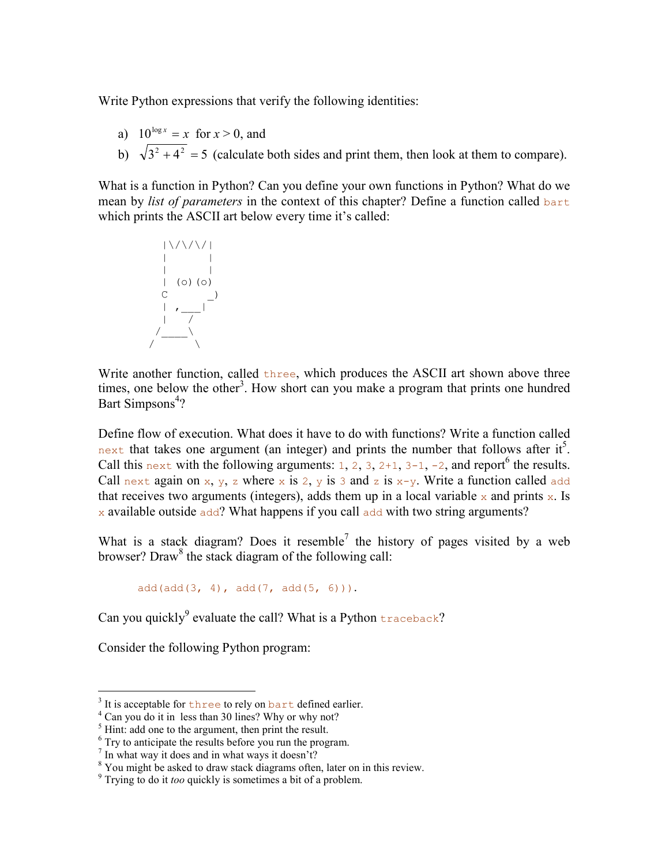Write Python expressions that verify the following identities:

- a)  $10^{\log x} = x$  for  $x > 0$ , and
- b)  $\sqrt{3^2 + 4^2} = 5$  (calculate both sides and print them, then look at them to compare).

What is a function in Python? Can you define your own functions in Python? What do we mean by *list of parameters* in the context of this chapter? Define a function called bart which prints the ASCII art below every time it's called:

$$
\begin{array}{c|c|c} & | \vee \wedge \vee \vee \vee \\ & | & | & | \\ & | & | & | \\ & | & | & | \\ & | & | & | \\ & | & | & | \\ & | & | & | \\ & | & | & | \\ & | & | & | \\ & | & | & | \\ & | & | & | \\ & | & | & | \\ & | & | & | \\ & | & | & | \\ & | & | & | \\ & | & | & | \\ & | & | & | \\ & | & | & | \\ & | & | & | \\ & | & | & | & | \\ & | & | & | & | \\ & | & | & | & | \\ & | & | & | & | & | \\ & | & | & | & | & | \\ & | & | & | & | & | \\ & | & | & | & | & | \\ & | & | & | & | & | & | \\ & | & | & | & | & | & | \\ & | & | & | & | & | & | \\ & | & | & | & | & | & | \\ & | & | & | & | & | & | & | \\ & | & | & | & | & | & | & | \\ & | & | & | & | & | & | & | \\ & | & | & | & | & | & | & | \\ & | & | & | & | & | & | & | \\ & | & | & | & | & | & | & | \\ & | & | & | & | & | & | & | \\ & | & | & | & | & | & | & | \\ & | & | & | & | & | & | & | \\ & | & | & | & | & | & | & | \\ & | & | & | & | & | & | & | \\ & | & | & | & | & | & | & | \\ & | & | & | & | & | & | & | \\ & | & | & | & | & | & | & | \\ & | & | & | & | & | & | & | \\ & | & | & | & | & | & | & | \\ & | & | & | & | & | & | & | \\ & | & | & | & | & | & | & | \\ & | & | & | & | & | & | & | \\ & | & | & | & | & | & | & | \\ & | & | & | & | & | & | & | \\ & | & | & | & | & | & | & | \\ & | & | & | & | & | & | & | \\ & | & | & | & | & | & | & | \\ & | & | & | & | & | & | & | \\ & | & | & | & | & | & | & | \\ & | & | & | & | & | & | & | \\ & | & | & | & | & | & | & | \\ & | & | & | & | & | & | & | \\ & | & | & | & | & | & | & | \\ & | & | & | & | & | & | & | \\ & | & | & | & | & | & | & | \\ & |
$$

Write another function, called three, which produces the ASCII art shown above three times, one below the other<sup>3</sup>. How short can you make a program that prints one hundred Bart Simpsons<sup>4</sup>?

Define flow of execution. What does it have to do with functions? Write a function called next that takes one argument (an integer) and prints the number that follows after it<sup>5</sup>. Call this next with the following arguments: 1, 2, 3,  $2+1$ ,  $3-1$ ,  $-2$ , and report<sup>6</sup> the results. Call next again on x, y, z where x is 2, y is 3 and z is  $x-y$ . Write a function called add that receives two arguments (integers), adds them up in a local variable  $x$  and prints  $x$ . Is  $\alpha$  available outside add? What happens if you call add with two string arguments?

What is a stack diagram? Does it resemble<sup>7</sup> the history of pages visited by a web browser? Draw<sup>8</sup> the stack diagram of the following call:

 $add(add(3, 4), add(7, add(5, 6))).$ 

Can you quickly<sup>9</sup> evaluate the call? What is a Python  $\text{traceback?}$ 

Consider the following Python program:

<sup>&</sup>lt;sup>3</sup> It is acceptable for three to rely on bart defined earlier.

<sup>&</sup>lt;sup>4</sup> Can you do it in less than 30 lines? Why or why not?

 $<sup>5</sup>$  Hint: add one to the argument, then print the result.</sup>

<sup>&</sup>lt;sup>6</sup> Try to anticipate the results before you run the program.

 $7$  In what way it does and in what ways it doesn't?

<sup>&</sup>lt;sup>8</sup> You might be asked to draw stack diagrams often, later on in this review.

<sup>&</sup>lt;sup>9</sup> Trying to do it too quickly is sometimes a bit of a problem.